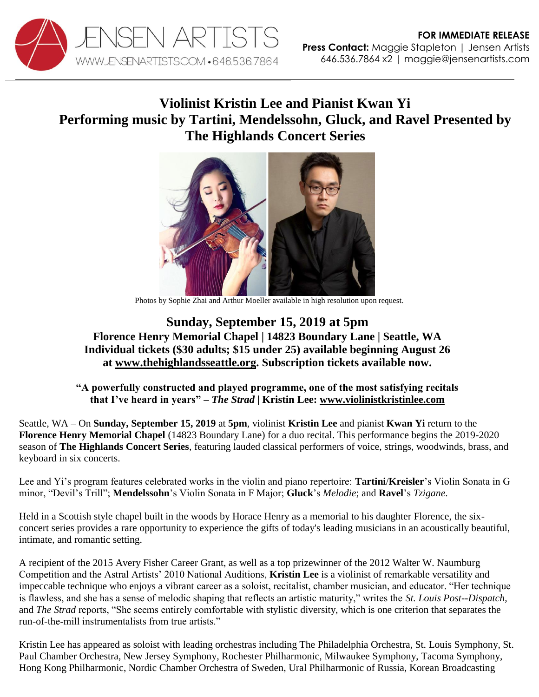

## **Violinist Kristin Lee and Pianist Kwan Yi Performing music by Tartini, Mendelssohn, Gluck, and Ravel Presented by The Highlands Concert Series**



Photos by Sophie Zhai and Arthur Moeller available in high resolution upon request.

## **Sunday, September 15, 2019 at 5pm Florence Henry Memorial Chapel | 14823 Boundary Lane | Seattle, WA Individual tickets (\$30 adults; \$15 under 25) available beginning August 26 at [www.thehighlandsseattle.org.](https://www.thehighlandsseattle.org/concert-series) Subscription tickets available now.**

## **"A powerfully constructed and played programme, one of the most satisfying recitals that I've heard in years" –** *The Strad* **| Kristin Lee: [www.violinistkristinlee.com](http://www.violinistkristinlee.com/)**

Seattle, WA – On **Sunday, September 15, 2019** at **5pm**, violinist **Kristin Lee** and pianist **Kwan Yi** return to the **Florence Henry Memorial Chapel** (14823 Boundary Lane) for a duo recital. This performance begins the 2019-2020 season of **The Highlands Concert Series**, featuring lauded classical performers of voice, strings, woodwinds, brass, and keyboard in six concerts.

Lee and Yi's program features celebrated works in the violin and piano repertoire: **Tartini**/**Kreisler**'s Violin Sonata in G minor, "Devil's Trill"; **Mendelssohn**'s Violin Sonata in F Major; **Gluck**'s *Melodie*; and **Ravel**'s *Tzigane*.

Held in a Scottish style chapel built in the woods by Horace Henry as a memorial to his daughter Florence, the sixconcert series provides a rare opportunity to experience the gifts of today's leading musicians in an acoustically beautiful, intimate, and romantic setting.

A recipient of the 2015 Avery Fisher Career Grant, as well as a top prizewinner of the 2012 Walter W. Naumburg Competition and the Astral Artists' 2010 National Auditions, **Kristin Lee** is a violinist of remarkable versatility and impeccable technique who enjoys a vibrant career as a soloist, recitalist, chamber musician, and educator. "Her technique is flawless, and she has a sense of melodic shaping that reflects an artistic maturity," writes the *St. Louis Post--Dispatch*, and *The Strad* reports, "She seems entirely comfortable with stylistic diversity, which is one criterion that separates the run-of-the-mill instrumentalists from true artists."

Kristin Lee has appeared as soloist with leading orchestras including The Philadelphia Orchestra, St. Louis Symphony, St. Paul Chamber Orchestra, New Jersey Symphony, Rochester Philharmonic, Milwaukee Symphony, Tacoma Symphony, Hong Kong Philharmonic, Nordic Chamber Orchestra of Sweden, Ural Philharmonic of Russia, Korean Broadcasting